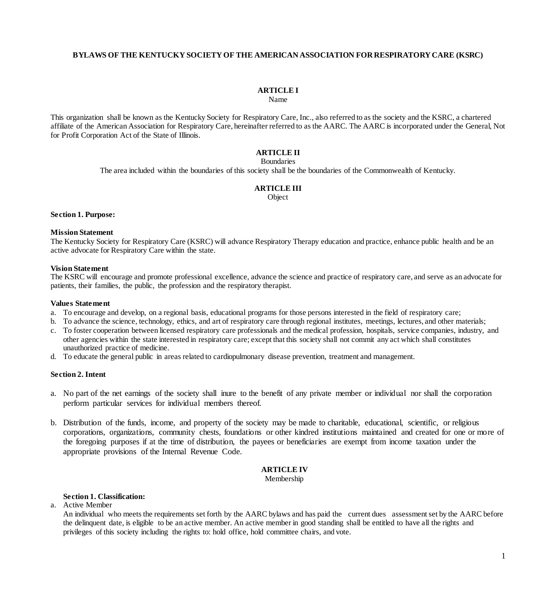## **BYLAWS OF THE KENTUCKY SOCIETYOF THE AMERICAN ASSOCIATION FOR RESPIRATORY CARE (KSRC)**

## **ARTICLE I**

Name

This organization shall be known as the Kentucky Society for Respiratory Care, Inc., also referred to as the society and the KSRC, a chartered affiliate of the American Association for Respiratory Care, hereinafter referred to as the AARC. The AARC is incorporated under the General, Not for Profit Corporation Act of the State of Illinois.

# **ARTICLE II**

## **Boundaries**

The area included within the boundaries of this society shall be the boundaries of the Commonwealth of Kentucky.

## **ARTICLE III**

**Object** 

### **Section 1. Purpose:**

#### **Mission Statement**

The Kentucky Society for Respiratory Care (KSRC) will advance Respiratory Therapy education and practice, enhance public health and be an active advocate for Respiratory Care within the state.

#### **Vision Statement**

The KSRC will encourage and promote professional excellence, advance the science and practice of respiratory care, and serve as an advocate for patients, their families, the public, the profession and the respiratory therapist.

#### **Values Statement**

- a. To encourage and develop, on a regional basis, educational programs for those persons interested in the field of respiratory care;
- b. To advance the science, technology, ethics, and art of respiratory care through regional institutes, meetings, lectures, and other materials;
- c. To foster cooperation between licensed respiratory care professionals and the medical profession, hospitals, service companies, industry, and other agencies within the state interested in respiratory care; except that this society shall not commit any act which shall constitutes unauthorized practice of medicine.
- d. To educate the general public in areas related to cardiopulmonary disease prevention, treatment and management.

### **Section 2. Intent**

- a. No part of the net earnings of the society shall inure to the benefit of any private member or individual nor shall the corporation perform particular services for individual members thereof.
- b. Distribution of the funds, income, and property of the society may be made to charitable, educational, scientific, or religious corporations, organizations, community chests, foundations or other kindred institutions maintained and created for one or more of the foregoing purposes if at the time of distribution, the payees or beneficiaries are exempt from income taxation under the appropriate provisions of the Internal Revenue Code.

# **ARTICLE IV**

#### Membership

# **Section 1. Classification:**

a. Active Member

An individual who meets the requirements set forth by the AARC bylaws and has paid the current dues assessment set by the AARC before the delinquent date, is eligible to be an active member. An active member in good standing shall be entitled to have all the rights and privileges of this society including the rights to: hold office, hold committee chairs, and vote.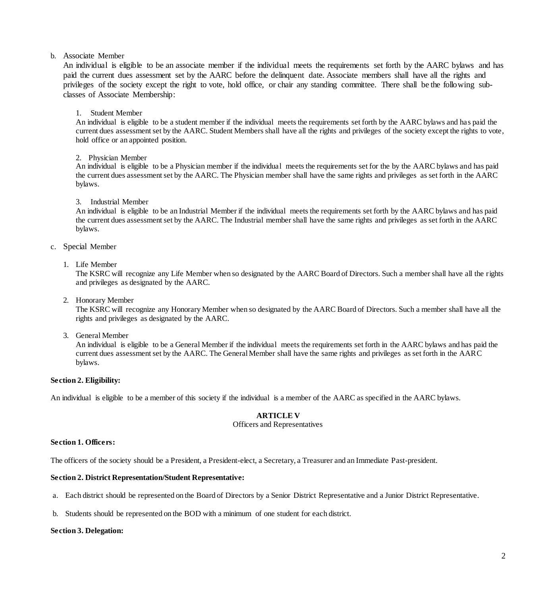## b. Associate Member

An individual is eligible to be an associate member if the individual meets the requirements set forth by the AARC bylaws and has paid the current dues assessment set by the AARC before the delinquent date. Associate members shall have all the rights and privileges of the society except the right to vote, hold office, or chair any standing committee. There shall be the following subclasses of Associate Membership:

## 1. Student Member

An individual is eligible to be a student member if the individual meets the requirements set forth by the AARC bylaws and has paid the current dues assessment set by the AARC. Student Members shall have all the rights and privileges of the society except the rights to vote, hold office or an appointed position.

## 2. Physician Member

An individual is eligible to be a Physician member if the individual meets the requirements set for the by the AARC bylaws and has paid the current dues assessment set by the AARC. The Physician member shall have the same rights and privileges as set forth in the AARC bylaws.

## 3. Industrial Member

An individual is eligible to be an Industrial Member if the individual meets the requirements set forth by the AARC bylaws and has paid the current dues assessment set by the AARC. The Industrial member shall have the same rights and privileges as set forth in the AARC bylaws.

## c. Special Member

## 1. Life Member

The KSRC will recognize any Life Member when so designated by the AARC Board of Directors. Such a member shall have all the rights and privileges as designated by the AARC.

2. Honorary Member

The KSRC will recognize any Honorary Member when so designated by the AARC Board of Directors. Such a member shall have all the rights and privileges as designated by the AARC.

3. General Member

An individual is eligible to be a General Member if the individual meets the requirements set forth in the AARC bylaws and has paid the current dues assessment set by the AARC. The General Member shall have the same rights and privileges as set forth in the AARC bylaws.

### **Section 2. Eligibility:**

An individual is eligible to be a member of this society if the individual is a member of the AARC as specified in the AARC bylaws.

# **ARTICLE V**

### Officers and Representatives

### **Section 1. Officers:**

The officers of the society should be a President, a President-elect, a Secretary, a Treasurer and an Immediate Past-president.

### **Section 2. District Representation/Student Representative:**

- a. Each district should be represented on the Board of Directors by a Senior District Representative and a Junior District Representative.
- b. Students should be represented on the BOD with a minimum of one student for each district.

### **Section 3. Delegation:**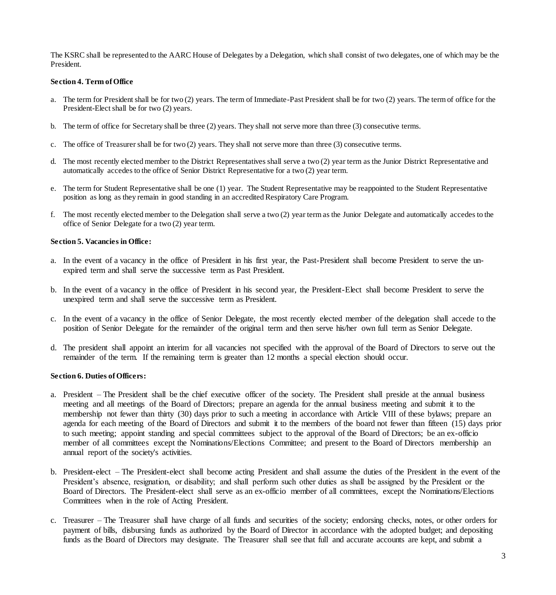The KSRC shall be represented to the AARC House of Delegates by a Delegation, which shall consist of two delegates, one of which may be the President.

## **Section 4. Term of Office**

- a. The term for President shall be for two (2) years. The term of Immediate-Past President shall be for two (2) years. The term of office for the President-Elect shall be for two (2) years.
- b. The term of office for Secretary shall be three (2) years. They shall not serve more than three (3) consecutive terms.
- c. The office of Treasurer shall be for two (2) years. They shall not serve more than three (3) consecutive terms.
- d. The most recently elected member to the District Representatives shall serve a two (2) year term as the Junior District Representative and automatically accedes to the office of Senior District Representative for a two (2) year term.
- e. The term for Student Representative shall be one (1) year. The Student Representative may be reappointed to the Student Representative position as long as they remain in good standing in an accredited Respiratory Care Program.
- f. The most recently elected member to the Delegation shall serve a two (2) year term as the Junior Delegate and automatically accedes to the office of Senior Delegate for a two (2) year term.

# **Section 5. Vacancies in Office:**

- a. In the event of a vacancy in the office of President in his first year, the Past-President shall become President to serve the unexpired term and shall serve the successive term as Past President.
- b. In the event of a vacancy in the office of President in his second year, the President-Elect shall become President to serve the unexpired term and shall serve the successive term as President.
- c. In the event of a vacancy in the office of Senior Delegate, the most recently elected member of the delegation shall accede to the position of Senior Delegate for the remainder of the original term and then serve his/her own full term as Senior Delegate.
- d. The president shall appoint an interim for all vacancies not specified with the approval of the Board of Directors to serve out the remainder of the term. If the remaining term is greater than 12 months a special election should occur.

### **Section 6. Duties of Officers:**

- a. President The President shall be the chief executive officer of the society. The President shall preside at the annual business meeting and all meetings of the Board of Directors; prepare an agenda for the annual business meeting and submit it to the membership not fewer than thirty (30) days prior to such a meeting in accordance with Article VIII of these bylaws; prepare an agenda for each meeting of the Board of Directors and submit it to the members of the board not fewer than fifteen (15) days prior to such meeting; appoint standing and special committees subject to the approval of the Board of Directors; be an ex-officio member of all committees except the Nominations/Elections Committee; and present to the Board of Directors membership an annual report of the society's activities.
- b. President-elect The President-elect shall become acting President and shall assume the duties of the President in the event of the President's absence, resignation, or disability; and shall perform such other duties as shall be assigned by the President or the Board of Directors. The President-elect shall serve as an ex-officio member of all committees, except the Nominations/Elections Committees when in the role of Acting President.
- c. Treasurer The Treasurer shall have charge of all funds and securities of the society; endorsing checks, notes, or other orders for payment of bills, disbursing funds as authorized by the Board of Director in accordance with the adopted budget; and depositing funds as the Board of Directors may designate. The Treasurer shall see that full and accurate accounts are kept, and submit a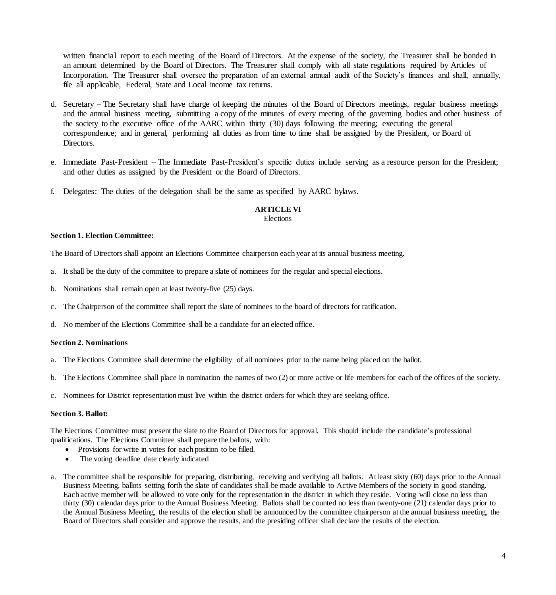written financial report to each meeting of the Board of Directors. At the expense of the society, the Treasurer shall be bonded in an amount determined by the Board of Directors. The Treasurer shall comply with all state regulations required by Articles of Incorporation. The Treasurer shall oversee the preparation of an external annual audit of the Society's finances and shall, annually, file all applicable, Federal, State and Local income tax returns.

- d. Secretary The Secretary shall have charge of keeping the minutes of the Board of Directors meetings, regular business meetings and the annual business meeting, submitting a copy of the minutes of every meeting of the governing bodies and other business of the society to the executive office of the AARC within thirty (30) days following the meeting; executing the general correspondence; and in general, performing all duties as from time to time shall be assigned by the President, or Board of Directors.
- e. Immediate Past-President The Immediate Past-President's specific duties include serving as a resource person for the President; and other duties as assigned by the President or the Board of Directors.
- f. Delegates: The duties of the delegation shall be the same as specified by AARC bylaws.

## **ARTICLE VI**

### Elections

#### **Section 1. Election Committee:**

The Board of Directors shall appoint an Elections Committee chairperson each year at its annual business meeting.

- a. It shall be the duty of the committee to prepare a slate of nominees for the regular and special elections.
- b. Nominations shall remain open at least twenty-five (25) days.
- c. The Chairperson of the committee shall report the slate of nominees to the board of directors for ratification.
- d. No member of the Elections Committee shall be a candidate for an elected office.

#### **Section 2. Nominations**

- a. The Elections Committee shall determine the eligibility of all nominees prior to the name being placed on the ballot.
- b. The Elections Committee shall place in nomination the names of two (2) or more active or life members for each of the offices of the society.
- c. Nominees for District representation must live within the district orders for which they are seeking office.

#### **Section 3. Ballot:**

The Elections Committee must present the slate to the Board of Directors for approval. This should include the candidate's professional qualifications. The Elections Committee shall prepare the ballots, with:

- Provisions for write in votes for each position to be filled.
- The voting deadline date clearly indicated
- a. The committee shall be responsible for preparing, distributing, receiving and verifying all ballots. At least sixty (60) days prior to the Annual Business Meeting, ballots setting forth the slate of candidates shall be made available to Active Members of the society in good standing. Each active member will be allowed to vote only for the representation in the district in which they reside. Voting will close no less than thirty (30) calendar days prior to the Annual Business Meeting. Ballots shall be counted no less than twenty-one (21) calendar days prior to the Annual Business Meeting, the results of the election shall be announced by the committee chairperson at the annual business meeting, the Board of Directors shall consider and approve the results, and the presiding officer shall declare the results of the election.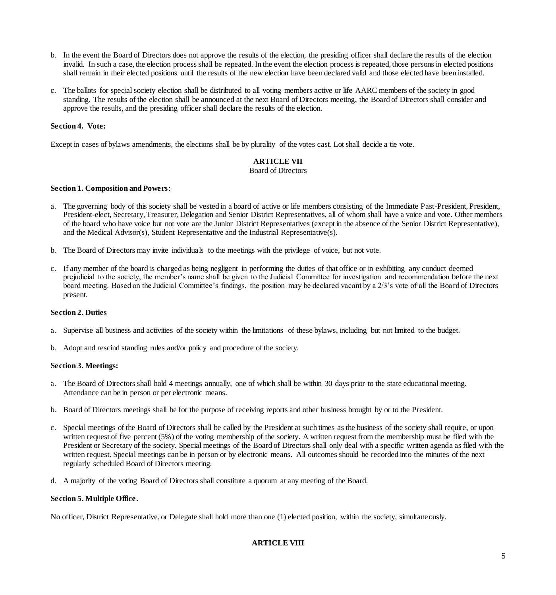- b. In the event the Board of Directors does not approve the results of the election, the presiding officer shall declare the results of the election invalid. In such a case, the election process shall be repeated. In the event the election process is repeated, those persons in elected positions shall remain in their elected positions until the results of the new election have been declared valid and those elected have been installed.
- c. The ballots for special society election shall be distributed to all voting members active or life AARC members of the society in good standing. The results of the election shall be announced at the next Board of Directors meeting, the Board of Directors shall consider and approve the results, and the presiding officer shall declare the results of the election.

### **Section 4. Vote:**

Except in cases of bylaws amendments, the elections shall be by plurality of the votes cast. Lot shall decide a tie vote.

# **ARTICLE VII**

### Board of Directors

### **Section 1. Composition and Powers**:

- a. The governing body of this society shall be vested in a board of active or life members consisting of the Immediate Past-President, President, President-elect, Secretary, Treasurer, Delegation and Senior District Representatives, all of whom shall have a voice and vote. Other members of the board who have voice but not vote are the Junior District Representatives (except in the absence of the Senior District Representative), and the Medical Advisor(s), Student Representative and the Industrial Representative(s).
- b. The Board of Directors may invite individuals to the meetings with the privilege of voice, but not vote.
- c. If any member of the board is charged as being negligent in performing the duties of that office or in exhibiting any conduct deemed prejudicial to the society, the member's name shall be given to the Judicial Committee for investigation and recommendation before the next board meeting. Based on the Judicial Committee's findings, the position may be declared vacant by a 2/3's vote of all the Board of Directors present.

#### **Section 2. Duties**

- a. Supervise all business and activities of the society within the limitations of these bylaws, including but not limited to the budget.
- b. Adopt and rescind standing rules and/or policy and procedure of the society.

### **Section 3. Meetings:**

- a. The Board of Directors shall hold 4 meetings annually, one of which shall be within 30 days prior to the state educational meeting. Attendance can be in person or per electronic means.
- b. Board of Directors meetings shall be for the purpose of receiving reports and other business brought by or to the President.
- c. Special meetings of the Board of Directors shall be called by the President at such times as the business of the society shall require, or upon written request of five percent (5%) of the voting membership of the society. A written request from the membership must be filed with the President or Secretary of the society. Special meetings of the Board of Directors shall only deal with a specific written agenda as filed with the written request. Special meetings can be in person or by electronic means. All outcomes should be recorded into the minutes of the next regularly scheduled Board of Directors meeting.
- d. A majority of the voting Board of Directors shall constitute a quorum at any meeting of the Board.

#### **Section 5. Multiple Office.**

No officer, District Representative, or Delegate shall hold more than one (1) elected position, within the society, simultaneously.

### **ARTICLE VIII**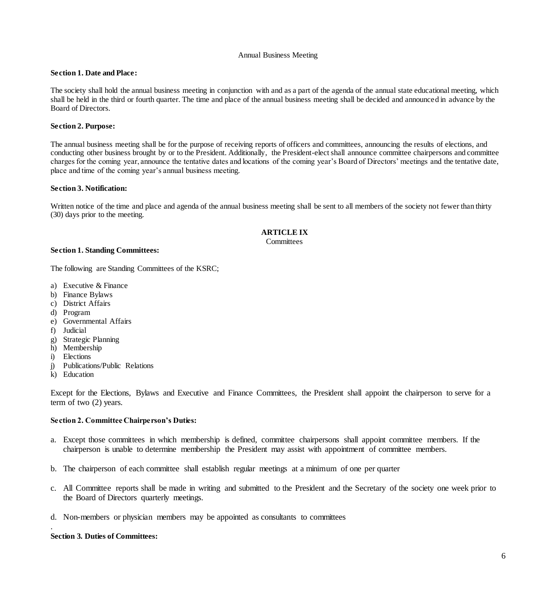#### Annual Business Meeting

### **Section 1. Date and Place:**

The society shall hold the annual business meeting in conjunction with and as a part of the agenda of the annual state educational meeting, which shall be held in the third or fourth quarter. The time and place of the annual business meeting shall be decided and announced in advance by the Board of Directors.

### **Section 2. Purpose:**

The annual business meeting shall be for the purpose of receiving reports of officers and committees, announcing the results of elections, and conducting other business brought by or to the President. Additionally, the President-elect shall announce committee chairpersons and committee charges for the coming year, announce the tentative dates and locations of the coming year's Board of Directors' meetings and the tentative date, place and time of the coming year's annual business meeting.

### **Section 3. Notification:**

Written notice of the time and place and agenda of the annual business meeting shall be sent to all members of the society not fewer than thirty (30) days prior to the meeting.

## **ARTICLE IX**

### **Committees**

## **Section 1. Standing Committees:**

The following are Standing Committees of the KSRC;

- a) Executive & Finance
- b) Finance Bylaws
- c) District Affairs
- d) Program
- e) Governmental Affairs
- f) Judicial
- g) Strategic Planning
- h) Membership
- i) Elections
- j) Publications/Public Relations
- k) Education

.

Except for the Elections, Bylaws and Executive and Finance Committees, the President shall appoint the chairperson to serve for a term of two (2) years.

### **Section 2. Committee Chairperson's Duties:**

- a. Except those committees in which membership is defined, committee chairpersons shall appoint committee members. If the chairperson is unable to determine membership the President may assist with appointment of committee members.
- b. The chairperson of each committee shall establish regular meetings at a minimum of one per quarter
- c. All Committee reports shall be made in writing and submitted to the President and the Secretary of the society one week prior to the Board of Directors quarterly meetings.
- d. Non-members or physician members may be appointed as consultants to committees

### **Section 3. Duties of Committees:**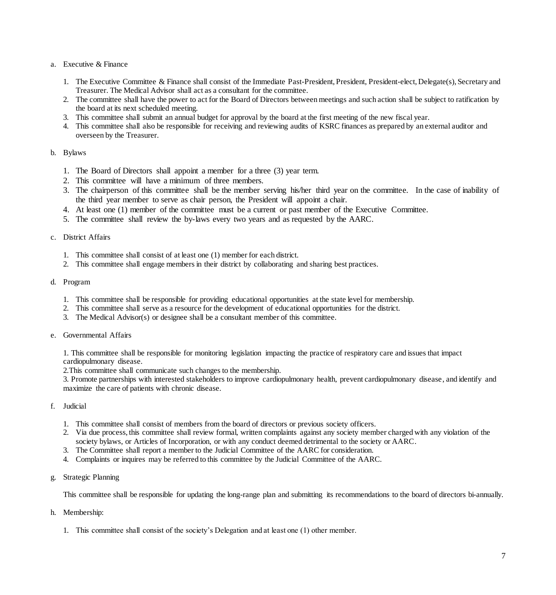## a. Executive & Finance

- 1. The Executive Committee & Finance shall consist of the Immediate Past-President, President, President-elect, Delegate(s), Secretary and Treasurer. The Medical Advisor shall act as a consultant for the committee.
- 2. The committee shall have the power to act for the Board of Directors between meetings and such action shall be subject to ratification by the board at its next scheduled meeting.
- 3. This committee shall submit an annual budget for approval by the board at the first meeting of the new fiscal year.
- 4. This committee shall also be responsible for receiving and reviewing audits of KSRC finances as prepared by an external auditor and overseen by the Treasurer.

## b. Bylaws

- 1. The Board of Directors shall appoint a member for a three (3) year term.
- 2. This committee will have a minimum of three members.
- 3. The chairperson of this committee shall be the member serving his/her third year on the committee. In the case of inability of the third year member to serve as chair person, the President will appoint a chair.
- 4. At least one (1) member of the committee must be a current or past member of the Executive Committee.
- 5. The committee shall review the by-laws every two years and as requested by the AARC.

### c. District Affairs

- 1. This committee shall consist of at least one (1) member for each district.
- 2. This committee shall engage members in their district by collaborating and sharing best practices.

### d. Program

- 1. This committee shall be responsible for providing educational opportunities at the state level for membership.
- 2. This committee shall serve as a resource for the development of educational opportunities for the district.
- 3. The Medical Advisor(s) or designee shall be a consultant member of this committee.
- e. Governmental Affairs

1. This committee shall be responsible for monitoring legislation impacting the practice of respiratory care and issues that impact cardiopulmonary disease.

2.This committee shall communicate such changes to the membership.

3. Promote partnerships with interested stakeholders to improve cardiopulmonary health, prevent cardiopulmonary disease, and identify and maximize the care of patients with chronic disease.

### f. Judicial

- 1. This committee shall consist of members from the board of directors or previous society officers.
- 2. Via due process, this committee shall review formal, written complaints against any society member charged with any violation of the society bylaws, or Articles of Incorporation, or with any conduct deemed detrimental to the society or AARC.
- 3. The Committee shall report a member to the Judicial Committee of the AARC for consideration.
- 4. Complaints or inquires may be referred to this committee by the Judicial Committee of the AARC.
- g. Strategic Planning

This committee shall be responsible for updating the long-range plan and submitting its recommendations to the board of directors bi-annually.

## h. Membership:

1. This committee shall consist of the society's Delegation and at least one (1) other member.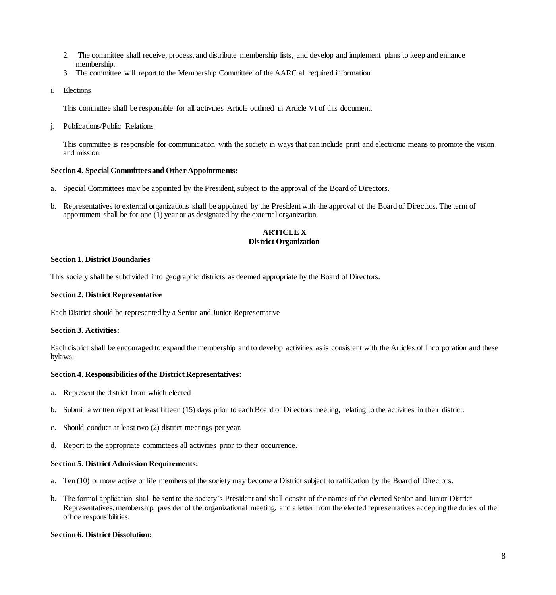- 2. The committee shall receive, process, and distribute membership lists, and develop and implement plans to keep and enhance membership.
- 3. The committee will report to the Membership Committee of the AARC all required information
- i. Elections

This committee shall be responsible for all activities Article outlined in Article VI of this document.

j. Publications/Public Relations

This committee is responsible for communication with the society in ways that can include print and electronic means to promote the vision and mission.

### **Section 4. Special Committees and Other Appointments:**

- a. Special Committees may be appointed by the President, subject to the approval of the Board of Directors.
- b. Representatives to external organizations shall be appointed by the President with the approval of the Board of Directors. The term of appointment shall be for one (1) year or as designated by the external organization.

## **ARTICLE X District Organization**

### **Section 1. District Boundaries**

This society shall be subdivided into geographic districts as deemed appropriate by the Board of Directors.

### **Section 2. District Representative**

Each District should be represented by a Senior and Junior Representative

### **Section 3. Activities:**

Each district shall be encouraged to expand the membership and to develop activities as is consistent with the Articles of Incorporation and these bylaws.

### **Section 4. Responsibilities of the District Representatives:**

- a. Represent the district from which elected
- b. Submit a written report at least fifteen (15) days prior to each Board of Directors meeting, relating to the activities in their district.
- c. Should conduct at least two (2) district meetings per year.
- d. Report to the appropriate committees all activities prior to their occurrence.

### **Section 5. District Admission Requirements:**

- a. Ten (10) or more active or life members of the society may become a District subject to ratification by the Board of Directors.
- b. The formal application shall be sent to the society's President and shall consist of the names of the elected Senior and Junior District Representatives, membership, presider of the organizational meeting, and a letter from the elected representatives accepting the duties of the office responsibilities.

## **Section 6. District Dissolution:**